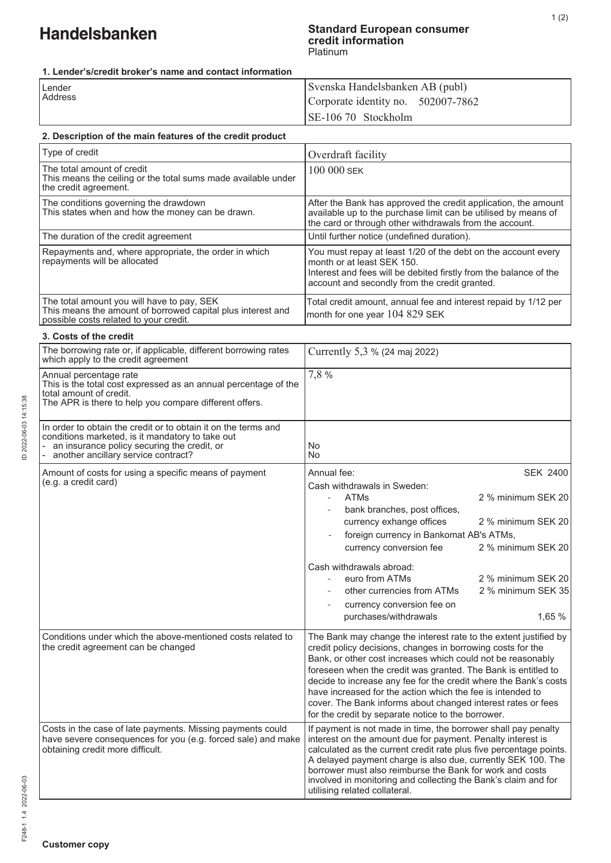#### **Standard European consumer credit information**  Platinum

#### **1. Lender's/credit broker's name and contact information**

| 2. Description of the main features of the credit product | SE-106 70 Stockholm                |
|-----------------------------------------------------------|------------------------------------|
|                                                           |                                    |
| <b>Address</b>                                            | Corporate identity no. 502007-7862 |
| Lender                                                    | Svenska Handelsbanken AB (publ)    |

| Type of credit                                                                                                                                                                                           | Overdraft facility                                                                                                                                                                                                                                                                                                                                                                                                                                                                                                      |  |
|----------------------------------------------------------------------------------------------------------------------------------------------------------------------------------------------------------|-------------------------------------------------------------------------------------------------------------------------------------------------------------------------------------------------------------------------------------------------------------------------------------------------------------------------------------------------------------------------------------------------------------------------------------------------------------------------------------------------------------------------|--|
| The total amount of credit<br>This means the ceiling or the total sums made available under<br>the credit agreement.                                                                                     | 100 000 SEK                                                                                                                                                                                                                                                                                                                                                                                                                                                                                                             |  |
| The conditions governing the drawdown<br>This states when and how the money can be drawn.                                                                                                                | After the Bank has approved the credit application, the amount<br>available up to the purchase limit can be utilised by means of<br>the card or through other withdrawals from the account.                                                                                                                                                                                                                                                                                                                             |  |
| The duration of the credit agreement                                                                                                                                                                     | Until further notice (undefined duration).                                                                                                                                                                                                                                                                                                                                                                                                                                                                              |  |
| Repayments and, where appropriate, the order in which<br>repayments will be allocated                                                                                                                    | You must repay at least 1/20 of the debt on the account every<br>month or at least SEK 150.<br>Interest and fees will be debited firstly from the balance of the<br>account and secondly from the credit granted.                                                                                                                                                                                                                                                                                                       |  |
| The total amount you will have to pay, SEK<br>This means the amount of borrowed capital plus interest and<br>possible costs related to your credit.                                                      | Total credit amount, annual fee and interest repaid by 1/12 per<br>month for one year 104 829 SEK                                                                                                                                                                                                                                                                                                                                                                                                                       |  |
| 3. Costs of the credit                                                                                                                                                                                   |                                                                                                                                                                                                                                                                                                                                                                                                                                                                                                                         |  |
| The borrowing rate or, if applicable, different borrowing rates<br>which apply to the credit agreement                                                                                                   | Currently 5,3 % (24 maj 2022)                                                                                                                                                                                                                                                                                                                                                                                                                                                                                           |  |
| Annual percentage rate<br>This is the total cost expressed as an annual percentage of the<br>total amount of credit.<br>The APR is there to help you compare different offers.                           | 7,8%                                                                                                                                                                                                                                                                                                                                                                                                                                                                                                                    |  |
| In order to obtain the credit or to obtain it on the terms and<br>conditions marketed, is it mandatory to take out<br>an insurance policy securing the credit, or<br>another ancillary service contract? | No<br>No                                                                                                                                                                                                                                                                                                                                                                                                                                                                                                                |  |
| Amount of costs for using a specific means of payment<br>(e.g. a credit card)                                                                                                                            | Annual fee:<br><b>SEK 2400</b><br>Cash withdrawals in Sweden:<br><b>ATMs</b><br>2 % minimum SEK 20<br>bank branches, post offices,<br>currency exhange offices<br>2 % minimum SEK 20<br>foreign currency in Bankomat AB's ATMs,<br>currency conversion fee<br>2 % minimum SEK 20<br>Cash withdrawals abroad:<br>2 % minimum SEK 20<br>euro from ATMs                                                                                                                                                                    |  |
|                                                                                                                                                                                                          | 2 % minimum SEK 35<br>other currencies from ATMs<br>currency conversion fee on<br>1,65 %<br>purchases/withdrawals                                                                                                                                                                                                                                                                                                                                                                                                       |  |
| Conditions under which the above-mentioned costs related to<br>the credit agreement can be changed                                                                                                       | The Bank may change the interest rate to the extent justified by<br>credit policy decisions, changes in borrowing costs for the<br>Bank, or other cost increases which could not be reasonably<br>foreseen when the credit was granted. The Bank is entitled to<br>decide to increase any fee for the credit where the Bank's costs<br>have increased for the action which the fee is intended to<br>cover. The Bank informs about changed interest rates or fees<br>for the credit by separate notice to the borrower. |  |
| Costs in the case of late payments. Missing payments could<br>have severe consequences for you (e.g. forced sale) and make<br>obtaining credit more difficult.                                           | If payment is not made in time, the borrower shall pay penalty<br>interest on the amount due for payment. Penalty interest is<br>calculated as the current credit rate plus five percentage points.<br>A delayed payment charge is also due, currently SEK 100. The<br>borrower must also reimburse the Bank for work and costs<br>involved in monitoring and collecting the Bank's claim and for<br>utilising related collateral.                                                                                      |  |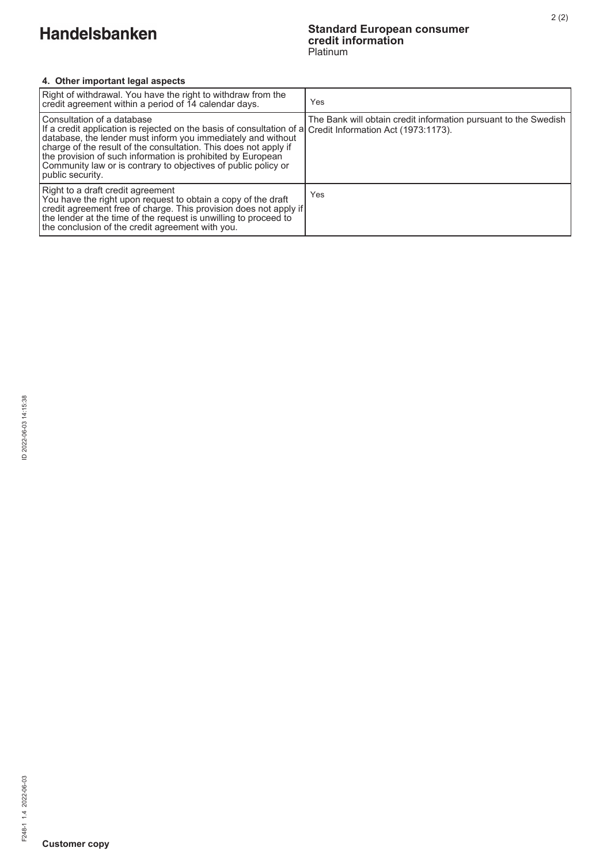#### **Standard European consumer credit information**  Platinum

## **4. Other important legal aspects**

| Right of withdrawal. You have the right to withdraw from the<br>credit agreement within a period of 14 calendar days.                                                                                                                                                                                                                                                                                                            | Yes                                                             |
|----------------------------------------------------------------------------------------------------------------------------------------------------------------------------------------------------------------------------------------------------------------------------------------------------------------------------------------------------------------------------------------------------------------------------------|-----------------------------------------------------------------|
| Consultation of a database<br>If a credit application is rejected on the basis of consultation of a Credit Information Act (1973:1173).<br>database, the lender must inform you immediately and without<br>charge of the result of the consultation. This does not apply if<br>the provision of such information is prohibited by European<br>Community law or is contrary to objectives of public policy or<br>public security. | The Bank will obtain credit information pursuant to the Swedish |
| Right to a draft credit agreement<br>You have the right upon request to obtain a copy of the draft<br>credit agreement free of charge. This provision does not apply if<br>the lender at the time of the request is unwilling to proceed to<br>the conclusion of the credit agreement with you.                                                                                                                                  | Yes                                                             |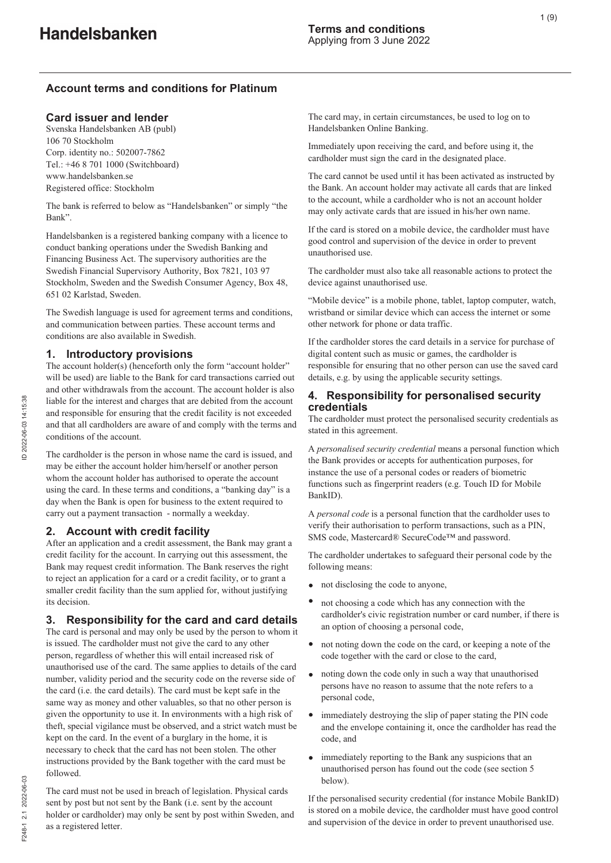## **Account terms and conditions for Platinum**

#### **Card issuer and lender**

Svenska Handelsbanken AB (publ) 106 70 Stockholm Corp. identity no.: 502007-7862 Tel.: +46 8 701 1000 (Switchboard) www.handelsbanken.se Registered office: Stockholm

The bank is referred to below as "Handelsbanken" or simply "the Bank".

Handelsbanken is a registered banking company with a licence to conduct banking operations under the Swedish Banking and Financing Business Act. The supervisory authorities are the Swedish Financial Supervisory Authority, Box 7821, 103 97 Stockholm, Sweden and the Swedish Consumer Agency, Box 48, 651 02 Karlstad, Sweden.

The Swedish language is used for agreement terms and conditions, and communication between parties. These account terms and conditions are also available in Swedish.

#### **1. Introductory provisions**

The account holder(s) (henceforth only the form "account holder" will be used) are liable to the Bank for card transactions carried out and other withdrawals from the account. The account holder is also liable for the interest and charges that are debited from the account and responsible for ensuring that the credit facility is not exceeded and that all cardholders are aware of and comply with the terms and conditions of the account.

The cardholder is the person in whose name the card is issued, and may be either the account holder him/herself or another person whom the account holder has authorised to operate the account using the card. In these terms and conditions, a "banking day" is a day when the Bank is open for business to the extent required to carry out a payment transaction - normally a weekday.

### **2. Account with credit facility**

After an application and a credit assessment, the Bank may grant a credit facility for the account. In carrying out this assessment, the Bank may request credit information. The Bank reserves the right to reject an application for a card or a credit facility, or to grant a smaller credit facility than the sum applied for, without justifying its decision.

### **3. Responsibility for the card and card details**

The card is personal and may only be used by the person to whom it is issued. The cardholder must not give the card to any other person, regardless of whether this will entail increased risk of unauthorised use of the card. The same applies to details of the card number, validity period and the security code on the reverse side of the card (i.e. the card details). The card must be kept safe in the same way as money and other valuables, so that no other person is given the opportunity to use it. In environments with a high risk of theft, special vigilance must be observed, and a strict watch must be kept on the card. In the event of a burglary in the home, it is necessary to check that the card has not been stolen. The other instructions provided by the Bank together with the card must be followed.

The card must not be used in breach of legislation. Physical cards sent by post but not sent by the Bank (i.e. sent by the account holder or cardholder) may only be sent by post within Sweden, and as a registered letter.

The card may, in certain circumstances, be used to log on to Handelsbanken Online Banking.

Immediately upon receiving the card, and before using it, the cardholder must sign the card in the designated place.

The card cannot be used until it has been activated as instructed by the Bank. An account holder may activate all cards that are linked to the account, while a cardholder who is not an account holder may only activate cards that are issued in his/her own name.

If the card is stored on a mobile device, the cardholder must have good control and supervision of the device in order to prevent unauthorised use.

The cardholder must also take all reasonable actions to protect the device against unauthorised use.

"Mobile device" is a mobile phone, tablet, laptop computer, watch, wristband or similar device which can access the internet or some other network for phone or data traffic.

If the cardholder stores the card details in a service for purchase of digital content such as music or games, the cardholder is responsible for ensuring that no other person can use the saved card details, e.g. by using the applicable security settings.

#### **4. Responsibility for personalised security credentials**

The cardholder must protect the personalised security credentials as stated in this agreement.

A *personalised security credential* means a personal function which the Bank provides or accepts for authentication purposes, for instance the use of a personal codes or readers of biometric functions such as fingerprint readers (e.g. Touch ID for Mobile BankID).

A *personal code* is a personal function that the cardholder uses to verify their authorisation to perform transactions, such as a PIN, SMS code, Mastercard® SecureCode™ and password.

The cardholder undertakes to safeguard their personal code by the following means:

- not disclosing the code to anyone,
- not choosing a code which has any connection with the cardholder's civic registration number or card number, if there is an option of choosing a personal code,
- not noting down the code on the card, or keeping a note of the code together with the card or close to the card,
- noting down the code only in such a way that unauthorised  $\bullet$ persons have no reason to assume that the note refers to a personal code,
- $\bullet$ immediately destroying the slip of paper stating the PIN code and the envelope containing it, once the cardholder has read the code, and
- immediately reporting to the Bank any suspicions that an  $\bullet$ unauthorised person has found out the code (see section 5 below).

If the personalised security credential (for instance Mobile BankID) is stored on a mobile device, the cardholder must have good control and supervision of the device in order to prevent unauthorised use.

F248-1 2.1 2022-06-03

7248-1 2.1 2022-06-03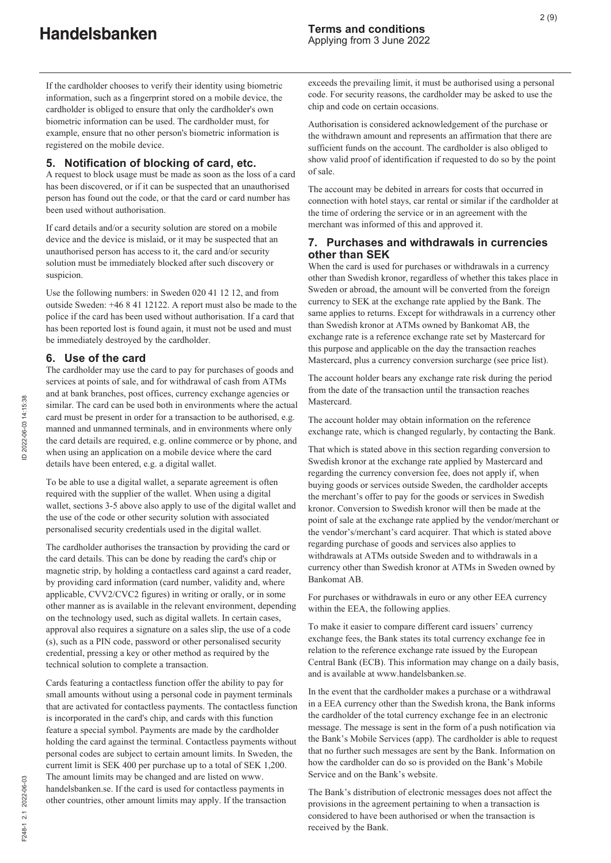If the cardholder chooses to verify their identity using biometric information, such as a fingerprint stored on a mobile device, the cardholder is obliged to ensure that only the cardholder's own biometric information can be used. The cardholder must, for example, ensure that no other person's biometric information is registered on the mobile device.

## **5. Notification of blocking of card, etc.**

A request to block usage must be made as soon as the loss of a card has been discovered, or if it can be suspected that an unauthorised person has found out the code, or that the card or card number has been used without authorisation.

If card details and/or a security solution are stored on a mobile device and the device is mislaid, or it may be suspected that an unauthorised person has access to it, the card and/or security solution must be immediately blocked after such discovery or suspicion.

Use the following numbers: in Sweden 020 41 12 12, and from outside Sweden: +46 8 41 12122. A report must also be made to the police if the card has been used without authorisation. If a card that has been reported lost is found again, it must not be used and must be immediately destroyed by the cardholder.

#### **6. Use of the card**

The cardholder may use the card to pay for purchases of goods and services at points of sale, and for withdrawal of cash from ATMs and at bank branches, post offices, currency exchange agencies or similar. The card can be used both in environments where the actual card must be present in order for a transaction to be authorised, e.g. manned and unmanned terminals, and in environments where only the card details are required, e.g. online commerce or by phone, and when using an application on a mobile device where the card details have been entered, e.g. a digital wallet.

To be able to use a digital wallet, a separate agreement is often required with the supplier of the wallet. When using a digital wallet, sections 3-5 above also apply to use of the digital wallet and the use of the code or other security solution with associated personalised security credentials used in the digital wallet.

The cardholder authorises the transaction by providing the card or the card details. This can be done by reading the card's chip or magnetic strip, by holding a contactless card against a card reader, by providing card information (card number, validity and, where applicable, CVV2/CVC2 figures) in writing or orally, or in some other manner as is available in the relevant environment, depending on the technology used, such as digital wallets. In certain cases, approval also requires a signature on a sales slip, the use of a code (s), such as a PIN code, password or other personalised security credential, pressing a key or other method as required by the technical solution to complete a transaction.

Cards featuring a contactless function offer the ability to pay for small amounts without using a personal code in payment terminals that are activated for contactless payments. The contactless function is incorporated in the card's chip, and cards with this function feature a special symbol. Payments are made by the cardholder holding the card against the terminal. Contactless payments without personal codes are subject to certain amount limits. In Sweden, the current limit is SEK 400 per purchase up to a total of SEK 1,200. The amount limits may be changed and are listed on www. handelsbanken.se. If the card is used for contactless payments in other countries, other amount limits may apply. If the transaction

exceeds the prevailing limit, it must be authorised using a personal code. For security reasons, the cardholder may be asked to use the chip and code on certain occasions.

Authorisation is considered acknowledgement of the purchase or the withdrawn amount and represents an affirmation that there are sufficient funds on the account. The cardholder is also obliged to show valid proof of identification if requested to do so by the point of sale.

The account may be debited in arrears for costs that occurred in connection with hotel stays, car rental or similar if the cardholder at the time of ordering the service or in an agreement with the merchant was informed of this and approved it.

## **7. Purchases and withdrawals in currencies other than SEK**

When the card is used for purchases or withdrawals in a currency other than Swedish kronor, regardless of whether this takes place in Sweden or abroad, the amount will be converted from the foreign currency to SEK at the exchange rate applied by the Bank. The same applies to returns. Except for withdrawals in a currency other than Swedish kronor at ATMs owned by Bankomat AB, the exchange rate is a reference exchange rate set by Mastercard for this purpose and applicable on the day the transaction reaches Mastercard, plus a currency conversion surcharge (see price list).

The account holder bears any exchange rate risk during the period from the date of the transaction until the transaction reaches Mastercard.

The account holder may obtain information on the reference exchange rate, which is changed regularly, by contacting the Bank.

That which is stated above in this section regarding conversion to Swedish kronor at the exchange rate applied by Mastercard and regarding the currency conversion fee, does not apply if, when buying goods or services outside Sweden, the cardholder accepts the merchant's offer to pay for the goods or services in Swedish kronor. Conversion to Swedish kronor will then be made at the point of sale at the exchange rate applied by the vendor/merchant or the vendor's/merchant's card acquirer. That which is stated above regarding purchase of goods and services also applies to withdrawals at ATMs outside Sweden and to withdrawals in a currency other than Swedish kronor at ATMs in Sweden owned by Bankomat AB.

For purchases or withdrawals in euro or any other EEA currency within the EEA, the following applies.

To make it easier to compare different card issuers' currency exchange fees, the Bank states its total currency exchange fee in relation to the reference exchange rate issued by the European Central Bank (ECB). This information may change on a daily basis, and is available at www.handelsbanken.se.

In the event that the cardholder makes a purchase or a withdrawal in a EEA currency other than the Swedish krona, the Bank informs the cardholder of the total currency exchange fee in an electronic message. The message is sent in the form of a push notification via the Bank's Mobile Services (app). The cardholder is able to request that no further such messages are sent by the Bank. Information on how the cardholder can do so is provided on the Bank's Mobile Service and on the Bank's website.

The Bank's distribution of electronic messages does not affect the provisions in the agreement pertaining to when a transaction is considered to have been authorised or when the transaction is received by the Bank.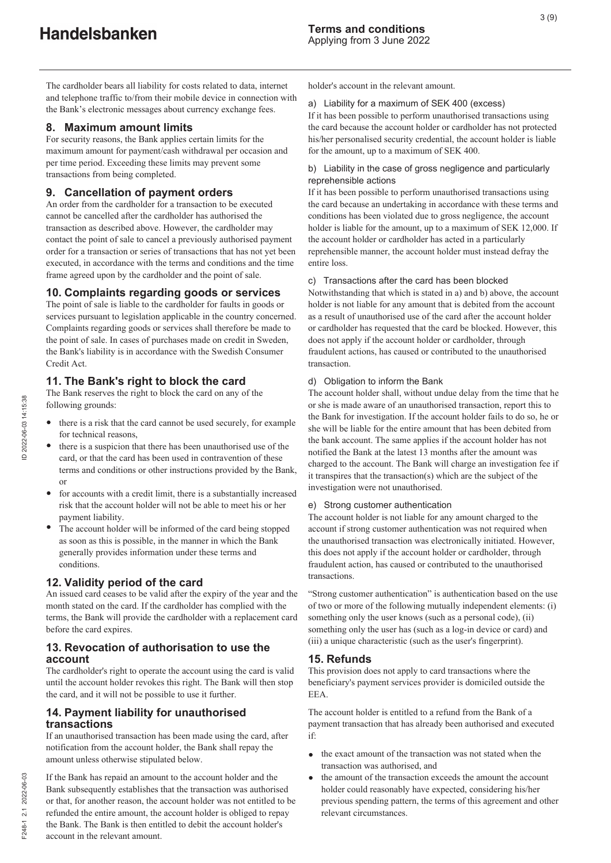The cardholder bears all liability for costs related to data, internet and telephone traffic to/from their mobile device in connection with the Bank's electronic messages about currency exchange fees.

# **8. Maximum amount limits**

For security reasons, the Bank applies certain limits for the maximum amount for payment/cash withdrawal per occasion and per time period. Exceeding these limits may prevent some transactions from being completed.

# **9. Cancellation of payment orders**

An order from the cardholder for a transaction to be executed cannot be cancelled after the cardholder has authorised the transaction as described above. However, the cardholder may contact the point of sale to cancel a previously authorised payment order for a transaction or series of transactions that has not yet been executed, in accordance with the terms and conditions and the time frame agreed upon by the cardholder and the point of sale.

# **10. Complaints regarding goods or services**

The point of sale is liable to the cardholder for faults in goods or services pursuant to legislation applicable in the country concerned. Complaints regarding goods or services shall therefore be made to the point of sale. In cases of purchases made on credit in Sweden, the Bank's liability is in accordance with the Swedish Consumer Credit Act.

# **11. The Bank's right to block the card**

The Bank reserves the right to block the card on any of the following grounds:

- there is a risk that the card cannot be used securely, for example for technical reasons,
- there is a suspicion that there has been unauthorised use of the card, or that the card has been used in contravention of these terms and conditions or other instructions provided by the Bank, or
- for accounts with a credit limit, there is a substantially increased risk that the account holder will not be able to meet his or her payment liability.
- The account holder will be informed of the card being stopped as soon as this is possible, in the manner in which the Bank generally provides information under these terms and conditions.

# **12. Validity period of the card**

An issued card ceases to be valid after the expiry of the year and the month stated on the card. If the cardholder has complied with the terms, the Bank will provide the cardholder with a replacement card before the card expires.

# **13. Revocation of authorisation to use the account**

The cardholder's right to operate the account using the card is valid until the account holder revokes this right. The Bank will then stop the card, and it will not be possible to use it further.

# **14. Payment liability for unauthorised transactions**

If an unauthorised transaction has been made using the card, after notification from the account holder, the Bank shall repay the amount unless otherwise stipulated below.

If the Bank has repaid an amount to the account holder and the Bank subsequently establishes that the transaction was authorised or that, for another reason, the account holder was not entitled to be refunded the entire amount, the account holder is obliged to repay the Bank. The Bank is then entitled to debit the account holder's account in the relevant amount.

holder's account in the relevant amount.

# a) Liability for a maximum of SEK 400 (excess)

If it has been possible to perform unauthorised transactions using the card because the account holder or cardholder has not protected his/her personalised security credential, the account holder is liable for the amount, up to a maximum of SEK 400.

## b) Liability in the case of gross negligence and particularly reprehensible actions

If it has been possible to perform unauthorised transactions using the card because an undertaking in accordance with these terms and conditions has been violated due to gross negligence, the account holder is liable for the amount, up to a maximum of SEK 12,000. If the account holder or cardholder has acted in a particularly reprehensible manner, the account holder must instead defray the entire loss.

# c) Transactions after the card has been blocked

Notwithstanding that which is stated in a) and b) above, the account holder is not liable for any amount that is debited from the account as a result of unauthorised use of the card after the account holder or cardholder has requested that the card be blocked. However, this does not apply if the account holder or cardholder, through fraudulent actions, has caused or contributed to the unauthorised transaction.

# d) Obligation to inform the Bank

The account holder shall, without undue delay from the time that he or she is made aware of an unauthorised transaction, report this to the Bank for investigation. If the account holder fails to do so, he or she will be liable for the entire amount that has been debited from the bank account. The same applies if the account holder has not notified the Bank at the latest 13 months after the amount was charged to the account. The Bank will charge an investigation fee if it transpires that the transaction(s) which are the subject of the investigation were not unauthorised.

# e) Strong customer authentication

The account holder is not liable for any amount charged to the account if strong customer authentication was not required when the unauthorised transaction was electronically initiated. However, this does not apply if the account holder or cardholder, through fraudulent action, has caused or contributed to the unauthorised transactions.

"Strong customer authentication" is authentication based on the use of two or more of the following mutually independent elements: (i) something only the user knows (such as a personal code), (ii) something only the user has (such as a log-in device or card) and (iii) a unique characteristic (such as the user's fingerprint).

# **15. Refunds**

This provision does not apply to card transactions where the beneficiary's payment services provider is domiciled outside the EEA.

The account holder is entitled to a refund from the Bank of a payment transaction that has already been authorised and executed if:

- the exact amount of the transaction was not stated when the transaction was authorised, and
- the amount of the transaction exceeds the amount the account  $\bullet$ holder could reasonably have expected, considering his/her previous spending pattern, the terms of this agreement and other relevant circumstances.

F248-1 2.1 2022-06-03

7248-1 2.1 2022-06-03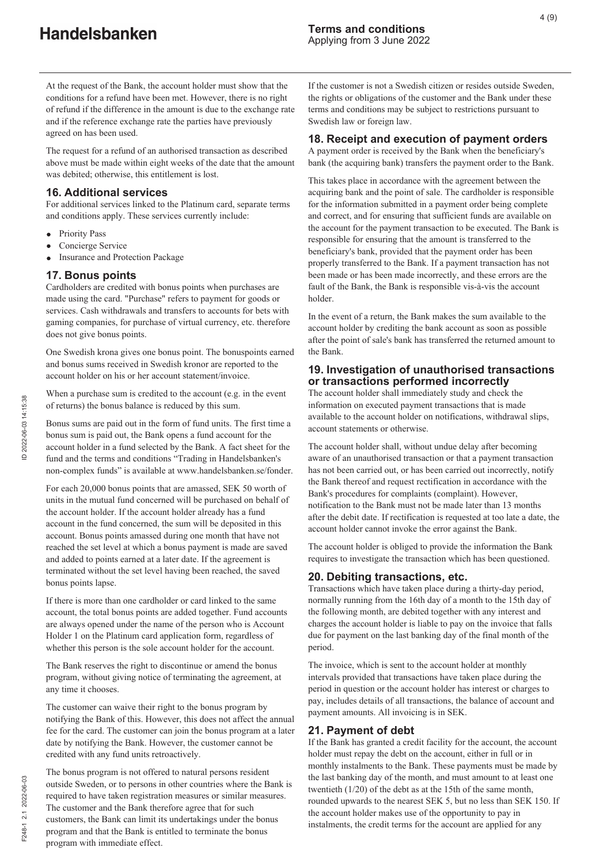At the request of the Bank, the account holder must show that the conditions for a refund have been met. However, there is no right of refund if the difference in the amount is due to the exchange rate and if the reference exchange rate the parties have previously agreed on has been used.

The request for a refund of an authorised transaction as described above must be made within eight weeks of the date that the amount was debited; otherwise, this entitlement is lost.

# **16. Additional services**

For additional services linked to the Platinum card, separate terms and conditions apply. These services currently include:

- Priority Pass  $\bullet$
- Concierge Service
- Insurance and Protection Package

# **17. Bonus points**

Cardholders are credited with bonus points when purchases are made using the card. "Purchase" refers to payment for goods or services. Cash withdrawals and transfers to accounts for bets with gaming companies, for purchase of virtual currency, etc. therefore does not give bonus points.

One Swedish krona gives one bonus point. The bonuspoints earned and bonus sums received in Swedish kronor are reported to the account holder on his or her account statement/invoice.

When a purchase sum is credited to the account (e.g. in the event of returns) the bonus balance is reduced by this sum.

Bonus sums are paid out in the form of fund units. The first time a bonus sum is paid out, the Bank opens a fund account for the account holder in a fund selected by the Bank. A fact sheet for the fund and the terms and conditions "Trading in Handelsbanken's non-complex funds" is available at www.handelsbanken.se/fonder.

For each 20,000 bonus points that are amassed, SEK 50 worth of units in the mutual fund concerned will be purchased on behalf of the account holder. If the account holder already has a fund account in the fund concerned, the sum will be deposited in this account. Bonus points amassed during one month that have not reached the set level at which a bonus payment is made are saved and added to points earned at a later date. If the agreement is terminated without the set level having been reached, the saved bonus points lapse.

If there is more than one cardholder or card linked to the same account, the total bonus points are added together. Fund accounts are always opened under the name of the person who is Account Holder 1 on the Platinum card application form, regardless of whether this person is the sole account holder for the account.

The Bank reserves the right to discontinue or amend the bonus program, without giving notice of terminating the agreement, at any time it chooses.

The customer can waive their right to the bonus program by notifying the Bank of this. However, this does not affect the annual fee for the card. The customer can join the bonus program at a later date by notifying the Bank. However, the customer cannot be credited with any fund units retroactively.

The bonus program is not offered to natural persons resident outside Sweden, or to persons in other countries where the Bank is required to have taken registration measures or similar measures. The customer and the Bank therefore agree that for such customers, the Bank can limit its undertakings under the bonus program and that the Bank is entitled to terminate the bonus program with immediate effect.

If the customer is not a Swedish citizen or resides outside Sweden, the rights or obligations of the customer and the Bank under these terms and conditions may be subject to restrictions pursuant to Swedish law or foreign law.

#### **18. Receipt and execution of payment orders**

A payment order is received by the Bank when the beneficiary's bank (the acquiring bank) transfers the payment order to the Bank.

This takes place in accordance with the agreement between the acquiring bank and the point of sale. The cardholder is responsible for the information submitted in a payment order being complete and correct, and for ensuring that sufficient funds are available on the account for the payment transaction to be executed. The Bank is responsible for ensuring that the amount is transferred to the beneficiary's bank, provided that the payment order has been properly transferred to the Bank. If a payment transaction has not been made or has been made incorrectly, and these errors are the fault of the Bank, the Bank is responsible vis-à-vis the account holder.

In the event of a return, the Bank makes the sum available to the account holder by crediting the bank account as soon as possible after the point of sale's bank has transferred the returned amount to the Bank.

### **19. Investigation of unauthorised transactions or transactions performed incorrectly**

The account holder shall immediately study and check the information on executed payment transactions that is made available to the account holder on notifications, withdrawal slips, account statements or otherwise.

The account holder shall, without undue delay after becoming aware of an unauthorised transaction or that a payment transaction has not been carried out, or has been carried out incorrectly, notify the Bank thereof and request rectification in accordance with the Bank's procedures for complaints (complaint). However, notification to the Bank must not be made later than 13 months after the debit date. If rectification is requested at too late a date, the account holder cannot invoke the error against the Bank.

The account holder is obliged to provide the information the Bank requires to investigate the transaction which has been questioned.

### **20. Debiting transactions, etc.**

Transactions which have taken place during a thirty-day period, normally running from the 16th day of a month to the 15th day of the following month, are debited together with any interest and charges the account holder is liable to pay on the invoice that falls due for payment on the last banking day of the final month of the period.

The invoice, which is sent to the account holder at monthly intervals provided that transactions have taken place during the period in question or the account holder has interest or charges to pay, includes details of all transactions, the balance of account and payment amounts. All invoicing is in SEK.

### **21. Payment of debt**

If the Bank has granted a credit facility for the account, the account holder must repay the debt on the account, either in full or in monthly instalments to the Bank. These payments must be made by the last banking day of the month, and must amount to at least one twentieth (1/20) of the debt as at the 15th of the same month, rounded upwards to the nearest SEK 5, but no less than SEK 150. If the account holder makes use of the opportunity to pay in instalments, the credit terms for the account are applied for any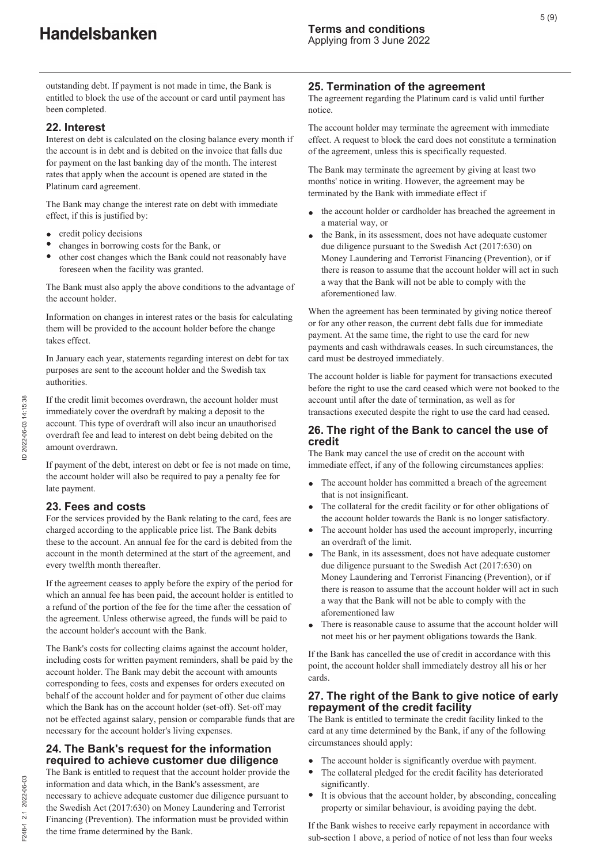outstanding debt. If payment is not made in time, the Bank is entitled to block the use of the account or card until payment has been completed.

# **22. Interest**

Interest on debt is calculated on the closing balance every month if the account is in debt and is debited on the invoice that falls due for payment on the last banking day of the month. The interest rates that apply when the account is opened are stated in the Platinum card agreement.

The Bank may change the interest rate on debt with immediate effect, if this is justified by:

- credit policy decisions
- changes in borrowing costs for the Bank, or
- other cost changes which the Bank could not reasonably have foreseen when the facility was granted.

The Bank must also apply the above conditions to the advantage of the account holder.

Information on changes in interest rates or the basis for calculating them will be provided to the account holder before the change takes effect.

In January each year, statements regarding interest on debt for tax purposes are sent to the account holder and the Swedish tax authorities.

If the credit limit becomes overdrawn, the account holder must immediately cover the overdraft by making a deposit to the account. This type of overdraft will also incur an unauthorised overdraft fee and lead to interest on debt being debited on the amount overdrawn.

If payment of the debt, interest on debt or fee is not made on time, the account holder will also be required to pay a penalty fee for late payment.

# **23. Fees and costs**

For the services provided by the Bank relating to the card, fees are charged according to the applicable price list. The Bank debits these to the account. An annual fee for the card is debited from the account in the month determined at the start of the agreement, and every twelfth month thereafter.

If the agreement ceases to apply before the expiry of the period for which an annual fee has been paid, the account holder is entitled to a refund of the portion of the fee for the time after the cessation of the agreement. Unless otherwise agreed, the funds will be paid to the account holder's account with the Bank.

The Bank's costs for collecting claims against the account holder, including costs for written payment reminders, shall be paid by the account holder. The Bank may debit the account with amounts corresponding to fees, costs and expenses for orders executed on behalf of the account holder and for payment of other due claims which the Bank has on the account holder (set-off). Set-off may not be effected against salary, pension or comparable funds that are necessary for the account holder's living expenses.

# **24. The Bank's request for the information required to achieve customer due diligence**

The Bank is entitled to request that the account holder provide the information and data which, in the Bank's assessment, are necessary to achieve adequate customer due diligence pursuant to the Swedish Act (2017:630) on Money Laundering and Terrorist Financing (Prevention). The information must be provided within the time frame determined by the Bank.

# **25. Termination of the agreement**

The agreement regarding the Platinum card is valid until further notice.

The account holder may terminate the agreement with immediate effect. A request to block the card does not constitute a termination of the agreement, unless this is specifically requested.

The Bank may terminate the agreement by giving at least two months' notice in writing. However, the agreement may be terminated by the Bank with immediate effect if

- the account holder or cardholder has breached the agreement in a material way, or
- the Bank, in its assessment, does not have adequate customer due diligence pursuant to the Swedish Act (2017:630) on Money Laundering and Terrorist Financing (Prevention), or if there is reason to assume that the account holder will act in such a way that the Bank will not be able to comply with the aforementioned law.

When the agreement has been terminated by giving notice thereof or for any other reason, the current debt falls due for immediate payment. At the same time, the right to use the card for new payments and cash withdrawals ceases. In such circumstances, the card must be destroyed immediately.

The account holder is liable for payment for transactions executed before the right to use the card ceased which were not booked to the account until after the date of termination, as well as for transactions executed despite the right to use the card had ceased.

## **26. The right of the Bank to cancel the use of credit**

The Bank may cancel the use of credit on the account with immediate effect, if any of the following circumstances applies:

- $\bullet$ The account holder has committed a breach of the agreement that is not insignificant.
- The collateral for the credit facility or for other obligations of the account holder towards the Bank is no longer satisfactory.
- $\bullet$ The account holder has used the account improperly, incurring an overdraft of the limit.
- The Bank, in its assessment, does not have adequate customer due diligence pursuant to the Swedish Act (2017:630) on Money Laundering and Terrorist Financing (Prevention), or if there is reason to assume that the account holder will act in such a way that the Bank will not be able to comply with the aforementioned law
- There is reasonable cause to assume that the account holder will not meet his or her payment obligations towards the Bank.

If the Bank has cancelled the use of credit in accordance with this point, the account holder shall immediately destroy all his or her cards.

# **27. The right of the Bank to give notice of early repayment of the credit facility**

The Bank is entitled to terminate the credit facility linked to the card at any time determined by the Bank, if any of the following circumstances should apply:

- The account holder is significantly overdue with payment.
- $\bullet$ The collateral pledged for the credit facility has deteriorated significantly.
- $\bullet$ It is obvious that the account holder, by absconding, concealing property or similar behaviour, is avoiding paying the debt.

If the Bank wishes to receive early repayment in accordance with sub-section 1 above, a period of notice of not less than four weeks

F248-1 2.1 2022-06-03

248-1 2.1 2022-06-03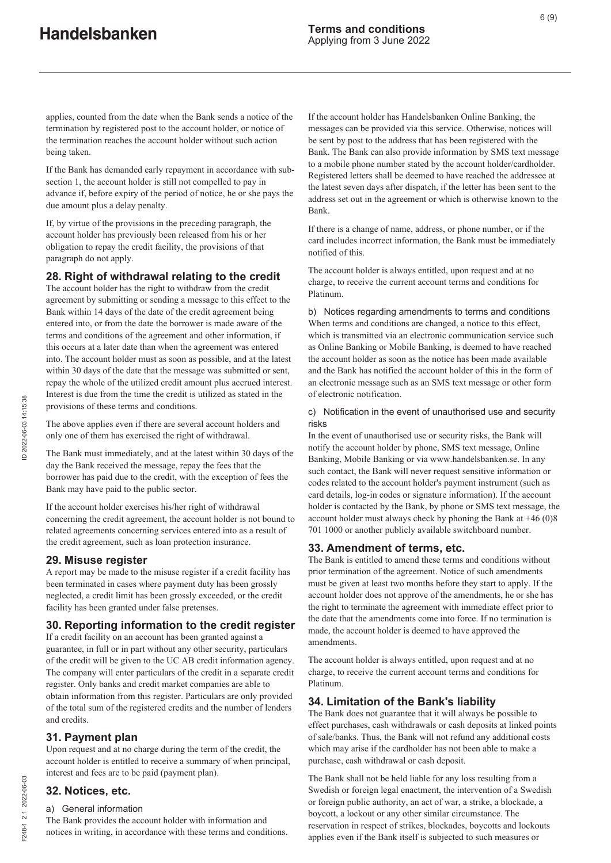applies, counted from the date when the Bank sends a notice of the termination by registered post to the account holder, or notice of the termination reaches the account holder without such action being taken.

If the Bank has demanded early repayment in accordance with subsection 1, the account holder is still not compelled to pay in advance if, before expiry of the period of notice, he or she pays the due amount plus a delay penalty.

If, by virtue of the provisions in the preceding paragraph, the account holder has previously been released from his or her obligation to repay the credit facility, the provisions of that paragraph do not apply.

# **28. Right of withdrawal relating to the credit**

The account holder has the right to withdraw from the credit agreement by submitting or sending a message to this effect to the Bank within 14 days of the date of the credit agreement being entered into, or from the date the borrower is made aware of the terms and conditions of the agreement and other information, if this occurs at a later date than when the agreement was entered into. The account holder must as soon as possible, and at the latest within 30 days of the date that the message was submitted or sent, repay the whole of the utilized credit amount plus accrued interest. Interest is due from the time the credit is utilized as stated in the provisions of these terms and conditions.

The above applies even if there are several account holders and only one of them has exercised the right of withdrawal.

The Bank must immediately, and at the latest within 30 days of the day the Bank received the message, repay the fees that the borrower has paid due to the credit, with the exception of fees the Bank may have paid to the public sector.

If the account holder exercises his/her right of withdrawal concerning the credit agreement, the account holder is not bound to related agreements concerning services entered into as a result of the credit agreement, such as loan protection insurance.

### **29. Misuse register**

A report may be made to the misuse register if a credit facility has been terminated in cases where payment duty has been grossly neglected, a credit limit has been grossly exceeded, or the credit facility has been granted under false pretenses.

### **30. Reporting information to the credit register**

If a credit facility on an account has been granted against a guarantee, in full or in part without any other security, particulars of the credit will be given to the UC AB credit information agency. The company will enter particulars of the credit in a separate credit register. Only banks and credit market companies are able to obtain information from this register. Particulars are only provided of the total sum of the registered credits and the number of lenders and credits.

### **31. Payment plan**

Upon request and at no charge during the term of the credit, the account holder is entitled to receive a summary of when principal, interest and fees are to be paid (payment plan).

### **32. Notices, etc.**

#### a) General information

The Bank provides the account holder with information and notices in writing, in accordance with these terms and conditions. If the account holder has Handelsbanken Online Banking, the messages can be provided via this service. Otherwise, notices will be sent by post to the address that has been registered with the Bank. The Bank can also provide information by SMS text message to a mobile phone number stated by the account holder/cardholder. Registered letters shall be deemed to have reached the addressee at the latest seven days after dispatch, if the letter has been sent to the address set out in the agreement or which is otherwise known to the Bank.

If there is a change of name, address, or phone number, or if the card includes incorrect information, the Bank must be immediately notified of this.

The account holder is always entitled, upon request and at no charge, to receive the current account terms and conditions for Platinum.

b) Notices regarding amendments to terms and conditions When terms and conditions are changed, a notice to this effect, which is transmitted via an electronic communication service such as Online Banking or Mobile Banking, is deemed to have reached the account holder as soon as the notice has been made available and the Bank has notified the account holder of this in the form of an electronic message such as an SMS text message or other form of electronic notification.

c) Notification in the event of unauthorised use and security risks

In the event of unauthorised use or security risks, the Bank will notify the account holder by phone, SMS text message, Online Banking, Mobile Banking or via www.handelsbanken.se. In any such contact, the Bank will never request sensitive information or codes related to the account holder's payment instrument (such as card details, log-in codes or signature information). If the account holder is contacted by the Bank, by phone or SMS text message, the account holder must always check by phoning the Bank at  $+46$  (0)8 701 1000 or another publicly available switchboard number.

### **33. Amendment of terms, etc.**

The Bank is entitled to amend these terms and conditions without prior termination of the agreement. Notice of such amendments must be given at least two months before they start to apply. If the account holder does not approve of the amendments, he or she has the right to terminate the agreement with immediate effect prior to the date that the amendments come into force. If no termination is made, the account holder is deemed to have approved the amendments.

The account holder is always entitled, upon request and at no charge, to receive the current account terms and conditions for Platinum.

### **34. Limitation of the Bank's liability**

The Bank does not guarantee that it will always be possible to effect purchases, cash withdrawals or cash deposits at linked points of sale/banks. Thus, the Bank will not refund any additional costs which may arise if the cardholder has not been able to make a purchase, cash withdrawal or cash deposit.

The Bank shall not be held liable for any loss resulting from a Swedish or foreign legal enactment, the intervention of a Swedish or foreign public authority, an act of war, a strike, a blockade, a boycott, a lockout or any other similar circumstance. The reservation in respect of strikes, blockades, boycotts and lockouts applies even if the Bank itself is subjected to such measures or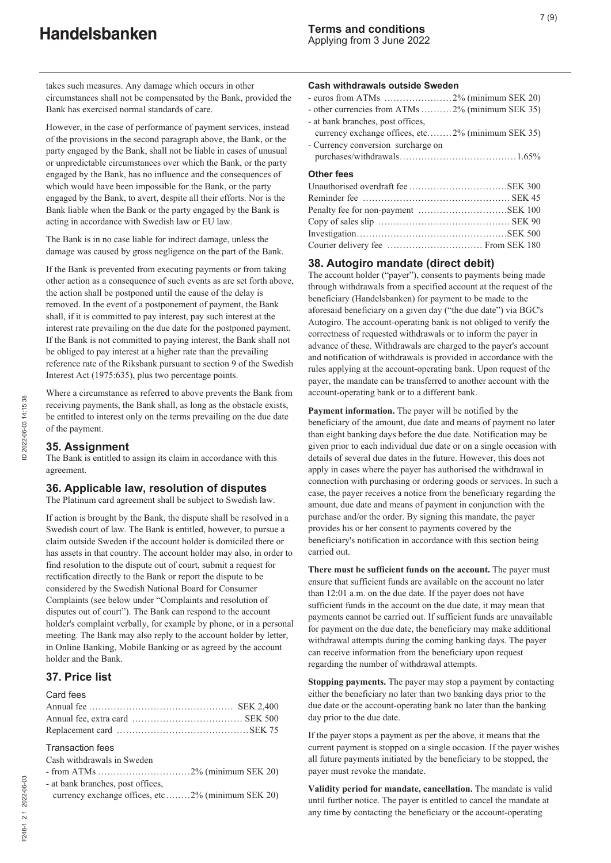takes such measures. Any damage which occurs in other circumstances shall not be compensated by the Bank, provided the Bank has exercised normal standards of care.

However, in the case of performance of payment services, instead of the provisions in the second paragraph above, the Bank, or the party engaged by the Bank, shall not be liable in cases of unusual or unpredictable circumstances over which the Bank, or the party engaged by the Bank, has no influence and the consequences of which would have been impossible for the Bank, or the party engaged by the Bank, to avert, despite all their efforts. Nor is the Bank liable when the Bank or the party engaged by the Bank is acting in accordance with Swedish law or EU law.

The Bank is in no case liable for indirect damage, unless the damage was caused by gross negligence on the part of the Bank.

If the Bank is prevented from executing payments or from taking other action as a consequence of such events as are set forth above, the action shall be postponed until the cause of the delay is removed. In the event of a postponement of payment, the Bank shall, if it is committed to pay interest, pay such interest at the interest rate prevailing on the due date for the postponed payment. If the Bank is not committed to paying interest, the Bank shall not be obliged to pay interest at a higher rate than the prevailing reference rate of the Riksbank pursuant to section 9 of the Swedish Interest Act (1975:635), plus two percentage points.

Where a circumstance as referred to above prevents the Bank from receiving payments, the Bank shall, as long as the obstacle exists, be entitled to interest only on the terms prevailing on the due date of the payment.

# **35. Assignment**

The Bank is entitled to assign its claim in accordance with this agreement.

# **36. Applicable law, resolution of disputes**

The Platinum card agreement shall be subject to Swedish law.

If action is brought by the Bank, the dispute shall be resolved in a Swedish court of law. The Bank is entitled, however, to pursue a claim outside Sweden if the account holder is domiciled there or has assets in that country. The account holder may also, in order to find resolution to the dispute out of court, submit a request for rectification directly to the Bank or report the dispute to be considered by the Swedish National Board for Consumer Complaints (see below under "Complaints and resolution of disputes out of court"). The Bank can respond to the account holder's complaint verbally, for example by phone, or in a personal meeting. The Bank may also reply to the account holder by letter, in Online Banking, Mobile Banking or as agreed by the account holder and the Bank.

# **37. Price list**

| <b>Transaction fees</b>                           |  |
|---------------------------------------------------|--|
| Cash withdrawals in Sweden                        |  |
|                                                   |  |
| - at bank branches, post offices,                 |  |
| currency exchange offices, etc2% (minimum SEK 20) |  |

#### **Cash withdrawals outside Sweden**

|--|--|--|--|

- other currencies from ATMs .......... 2% (minimum SEK 35) - at bank branches, post offices,
- currency exchange offices, etc........ 2% (minimum SEK 35)
- Currency conversion surcharge on purchases/withdrawals......................................1.65%

#### **Other fees**

### **38. Autogiro mandate (direct debit)**

The account holder ("payer"), consents to payments being made through withdrawals from a specified account at the request of the beneficiary (Handelsbanken) for payment to be made to the aforesaid beneficiary on a given day ("the due date") via BGC's Autogiro. The account-operating bank is not obliged to verify the correctness of requested withdrawals or to inform the payer in advance of these. Withdrawals are charged to the payer's account and notification of withdrawals is provided in accordance with the rules applying at the account-operating bank. Upon request of the payer, the mandate can be transferred to another account with the account-operating bank or to a different bank.

**Payment information.** The payer will be notified by the beneficiary of the amount, due date and means of payment no later than eight banking days before the due date. Notification may be given prior to each individual due date or on a single occasion with details of several due dates in the future. However, this does not apply in cases where the payer has authorised the withdrawal in connection with purchasing or ordering goods or services. In such a case, the payer receives a notice from the beneficiary regarding the amount, due date and means of payment in conjunction with the purchase and/or the order. By signing this mandate, the payer provides his or her consent to payments covered by the beneficiary's notification in accordance with this section being carried out.

**There must be sufficient funds on the account.** The payer must ensure that sufficient funds are available on the account no later than 12:01 a.m. on the due date. If the payer does not have sufficient funds in the account on the due date, it may mean that payments cannot be carried out. If sufficient funds are unavailable for payment on the due date, the beneficiary may make additional withdrawal attempts during the coming banking days. The payer can receive information from the beneficiary upon request regarding the number of withdrawal attempts.

**Stopping payments.** The payer may stop a payment by contacting either the beneficiary no later than two banking days prior to the due date or the account-operating bank no later than the banking day prior to the due date.

If the payer stops a payment as per the above, it means that the current payment is stopped on a single occasion. If the payer wishes all future payments initiated by the beneficiary to be stopped, the payer must revoke the mandate.

**Validity period for mandate, cancellation.** The mandate is valid until further notice. The payer is entitled to cancel the mandate at any time by contacting the beneficiary or the account-operating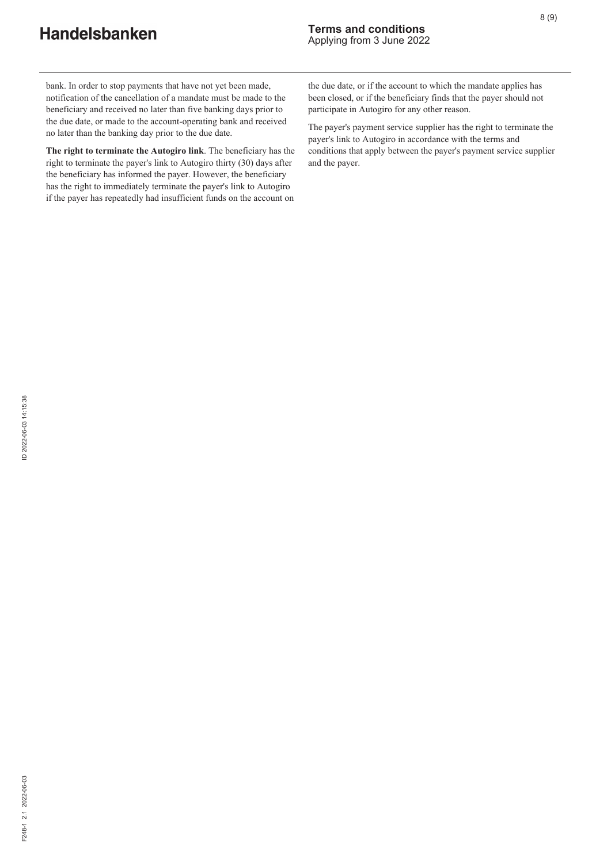bank. In order to stop payments that have not yet been made, notification of the cancellation of a mandate must be made to the beneficiary and received no later than five banking days prior to the due date, or made to the account-operating bank and received no later than the banking day prior to the due date.

**The right to terminate the Autogiro link**. The beneficiary has the right to terminate the payer's link to Autogiro thirty (30) days after the beneficiary has informed the payer. However, the beneficiary has the right to immediately terminate the payer's link to Autogiro if the payer has repeatedly had insufficient funds on the account on the due date, or if the account to which the mandate applies has been closed, or if the beneficiary finds that the payer should not participate in Autogiro for any other reason.

The payer's payment service supplier has the right to terminate the payer's link to Autogiro in accordance with the terms and conditions that apply between the payer's payment service supplier and the payer.